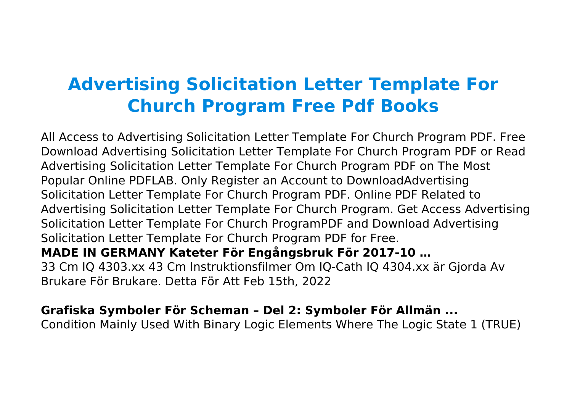# **Advertising Solicitation Letter Template For Church Program Free Pdf Books**

All Access to Advertising Solicitation Letter Template For Church Program PDF. Free Download Advertising Solicitation Letter Template For Church Program PDF or Read Advertising Solicitation Letter Template For Church Program PDF on The Most Popular Online PDFLAB. Only Register an Account to DownloadAdvertising Solicitation Letter Template For Church Program PDF. Online PDF Related to Advertising Solicitation Letter Template For Church Program. Get Access Advertising Solicitation Letter Template For Church ProgramPDF and Download Advertising Solicitation Letter Template For Church Program PDF for Free. **MADE IN GERMANY Kateter För Engångsbruk För 2017-10 …** 33 Cm IQ 4303.xx 43 Cm Instruktionsfilmer Om IQ-Cath IQ 4304.xx är Gjorda Av Brukare För Brukare. Detta För Att Feb 15th, 2022

#### **Grafiska Symboler För Scheman – Del 2: Symboler För Allmän ...**

Condition Mainly Used With Binary Logic Elements Where The Logic State 1 (TRUE)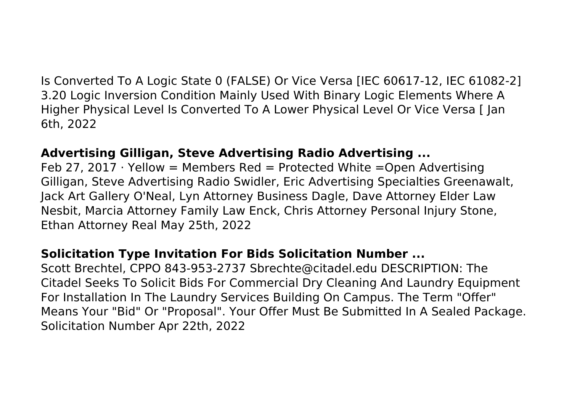Is Converted To A Logic State 0 (FALSE) Or Vice Versa [IEC 60617-12, IEC 61082-2] 3.20 Logic Inversion Condition Mainly Used With Binary Logic Elements Where A Higher Physical Level Is Converted To A Lower Physical Level Or Vice Versa [ Jan 6th, 2022

#### **Advertising Gilligan, Steve Advertising Radio Advertising ...**

Feb 27, 2017  $\cdot$  Yellow = Members Red = Protected White = Open Advertising Gilligan, Steve Advertising Radio Swidler, Eric Advertising Specialties Greenawalt, Jack Art Gallery O'Neal, Lyn Attorney Business Dagle, Dave Attorney Elder Law Nesbit, Marcia Attorney Family Law Enck, Chris Attorney Personal Injury Stone, Ethan Attorney Real May 25th, 2022

## **Solicitation Type Invitation For Bids Solicitation Number ...**

Scott Brechtel, CPPO 843-953-2737 Sbrechte@citadel.edu DESCRIPTION: The Citadel Seeks To Solicit Bids For Commercial Dry Cleaning And Laundry Equipment For Installation In The Laundry Services Building On Campus. The Term "Offer" Means Your "Bid" Or "Proposal". Your Offer Must Be Submitted In A Sealed Package. Solicitation Number Apr 22th, 2022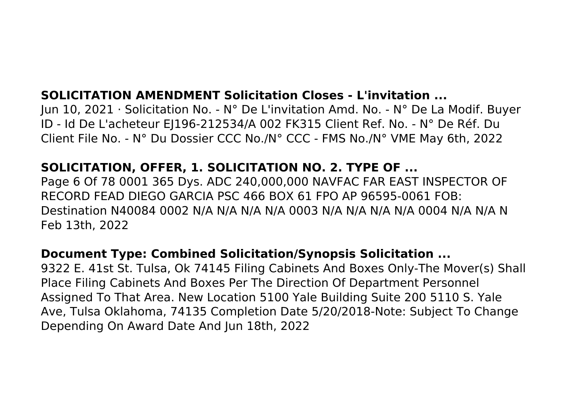## **SOLICITATION AMENDMENT Solicitation Closes - L'invitation ...**

Jun 10, 2021 · Solicitation No. - N° De L'invitation Amd. No. - N° De La Modif. Buyer ID - Id De L'acheteur EJ196-212534/A 002 FK315 Client Ref. No. - N° De Réf. Du Client File No. - N° Du Dossier CCC No./N° CCC - FMS No./N° VME May 6th, 2022

## **SOLICITATION, OFFER, 1. SOLICITATION NO. 2. TYPE OF ...**

Page 6 Of 78 0001 365 Dys. ADC 240,000,000 NAVFAC FAR EAST INSPECTOR OF RECORD FEAD DIEGO GARCIA PSC 466 BOX 61 FPO AP 96595-0061 FOB: Destination N40084 0002 N/A N/A N/A N/A 0003 N/A N/A N/A N/A 0004 N/A N/A N Feb 13th, 2022

## **Document Type: Combined Solicitation/Synopsis Solicitation ...**

9322 E. 41st St. Tulsa, Ok 74145 Filing Cabinets And Boxes Only-The Mover(s) Shall Place Filing Cabinets And Boxes Per The Direction Of Department Personnel Assigned To That Area. New Location 5100 Yale Building Suite 200 5110 S. Yale Ave, Tulsa Oklahoma, 74135 Completion Date 5/20/2018-Note: Subject To Change Depending On Award Date And Jun 18th, 2022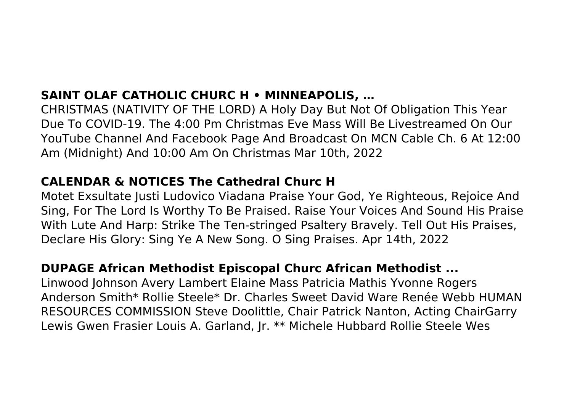# **SAINT OLAF CATHOLIC CHURC H • MINNEAPOLIS, …**

CHRISTMAS (NATIVITY OF THE LORD) A Holy Day But Not Of Obligation This Year Due To COVID-19. The 4:00 Pm Christmas Eve Mass Will Be Livestreamed On Our YouTube Channel And Facebook Page And Broadcast On MCN Cable Ch. 6 At 12:00 Am (Midnight) And 10:00 Am On Christmas Mar 10th, 2022

#### **CALENDAR & NOTICES The Cathedral Churc H**

Motet Exsultate Justi Ludovico Viadana Praise Your God, Ye Righteous, Rejoice And Sing, For The Lord Is Worthy To Be Praised. Raise Your Voices And Sound His Praise With Lute And Harp: Strike The Ten-stringed Psaltery Bravely. Tell Out His Praises, Declare His Glory: Sing Ye A New Song. O Sing Praises. Apr 14th, 2022

## **DUPAGE African Methodist Episcopal Churc African Methodist ...**

Linwood Johnson Avery Lambert Elaine Mass Patricia Mathis Yvonne Rogers Anderson Smith\* Rollie Steele\* Dr. Charles Sweet David Ware Renée Webb HUMAN RESOURCES COMMISSION Steve Doolittle, Chair Patrick Nanton, Acting ChairGarry Lewis Gwen Frasier Louis A. Garland, Jr. \*\* Michele Hubbard Rollie Steele Wes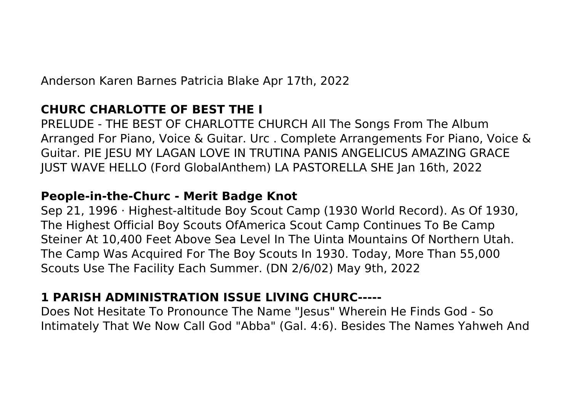Anderson Karen Barnes Patricia Blake Apr 17th, 2022

## **CHURC CHARLOTTE OF BEST THE I**

PRELUDE - THE BEST OF CHARLOTTE CHURCH All The Songs From The Album Arranged For Piano, Voice & Guitar. Urc . Complete Arrangements For Piano, Voice & Guitar. PIE JESU MY LAGAN LOVE IN TRUTINA PANIS ANGELICUS AMAZING GRACE JUST WAVE HELLO (Ford GlobalAnthem) LA PASTORELLA SHE Jan 16th, 2022

## **People-in-the-Churc - Merit Badge Knot**

Sep 21, 1996 · Highest-altitude Boy Scout Camp (1930 World Record). As Of 1930, The Highest Official Boy Scouts OfAmerica Scout Camp Continues To Be Camp Steiner At 10,400 Feet Above Sea Level In The Uinta Mountains Of Northern Utah. The Camp Was Acquired For The Boy Scouts In 1930. Today, More Than 55,000 Scouts Use The Facility Each Summer. (DN 2/6/02) May 9th, 2022

# **1 PARISH ADMINISTRATION ISSUE LlVING CHURC-----**

Does Not Hesitate To Pronounce The Name "Jesus" Wherein He Finds God - So Intimately That We Now Call God "Abba" (Gal. 4:6). Besides The Names Yahweh And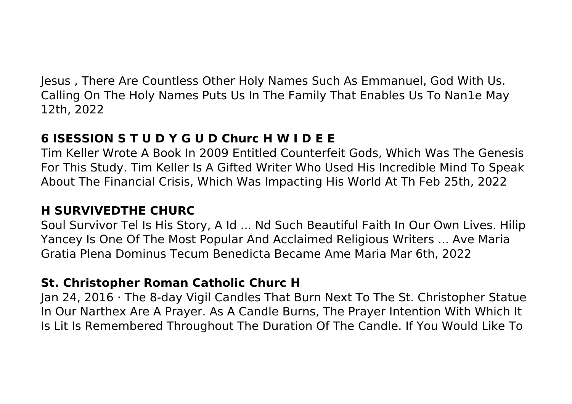Jesus , There Are Countless Other Holy Names Such As Emmanuel, God With Us. Calling On The Holy Names Puts Us In The Family That Enables Us To Nan1e May 12th, 2022

# **6 ISESSION S T U D Y G U D Churc H W I D E E**

Tim Keller Wrote A Book In 2009 Entitled Counterfeit Gods, Which Was The Genesis For This Study. Tim Keller Is A Gifted Writer Who Used His Incredible Mind To Speak About The Financial Crisis, Which Was Impacting His World At Th Feb 25th, 2022

# **H SURVIVEDTHE CHURC**

Soul Survivor Tel Is His Story, A Id ... Nd Such Beautiful Faith In Our Own Lives. Hilip Yancey Is One Of The Most Popular And Acclaimed Religious Writers ... Ave Maria Gratia Plena Dominus Tecum Benedicta Became Ame Maria Mar 6th, 2022

# **St. Christopher Roman Catholic Churc H**

Jan 24, 2016 · The 8-day Vigil Candles That Burn Next To The St. Christopher Statue In Our Narthex Are A Prayer. As A Candle Burns, The Prayer Intention With Which It Is Lit Is Remembered Throughout The Duration Of The Candle. If You Would Like To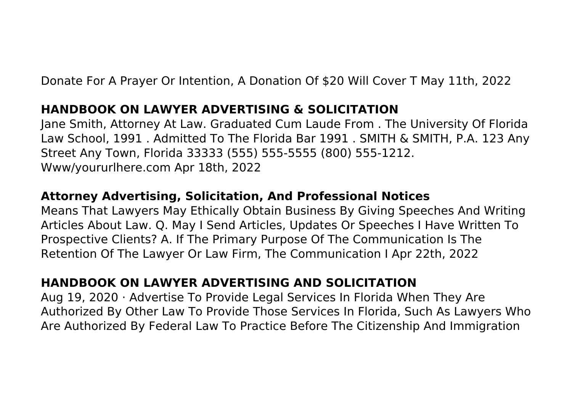Donate For A Prayer Or Intention, A Donation Of \$20 Will Cover T May 11th, 2022

## **HANDBOOK ON LAWYER ADVERTISING & SOLICITATION**

Jane Smith, Attorney At Law. Graduated Cum Laude From . The University Of Florida Law School, 1991 . Admitted To The Florida Bar 1991 . SMITH & SMITH, P.A. 123 Any Street Any Town, Florida 33333 (555) 555-5555 (800) 555-1212. Www/yoururlhere.com Apr 18th, 2022

## **Attorney Advertising, Solicitation, And Professional Notices**

Means That Lawyers May Ethically Obtain Business By Giving Speeches And Writing Articles About Law. Q. May I Send Articles, Updates Or Speeches I Have Written To Prospective Clients? A. If The Primary Purpose Of The Communication Is The Retention Of The Lawyer Or Law Firm, The Communication I Apr 22th, 2022

# **HANDBOOK ON LAWYER ADVERTISING AND SOLICITATION**

Aug 19, 2020 · Advertise To Provide Legal Services In Florida When They Are Authorized By Other Law To Provide Those Services In Florida, Such As Lawyers Who Are Authorized By Federal Law To Practice Before The Citizenship And Immigration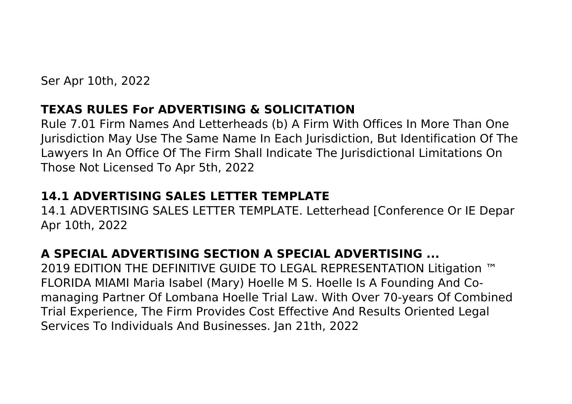Ser Apr 10th, 2022

## **TEXAS RULES For ADVERTISING & SOLICITATION**

Rule 7.01 Firm Names And Letterheads (b) A Firm With Offices In More Than One Jurisdiction May Use The Same Name In Each Jurisdiction, But Identification Of The Lawyers In An Office Of The Firm Shall Indicate The Jurisdictional Limitations On Those Not Licensed To Apr 5th, 2022

# **14.1 ADVERTISING SALES LETTER TEMPLATE**

14.1 ADVERTISING SALES LETTER TEMPLATE. Letterhead [Conference Or IE Depar Apr 10th, 2022

# **A SPECIAL ADVERTISING SECTION A SPECIAL ADVERTISING ...**

2019 EDITION THE DEFINITIVE GUIDE TO LEGAL REPRESENTATION Litigation ™ FLORIDA MIAMI Maria Isabel (Mary) Hoelle M S. Hoelle Is A Founding And Comanaging Partner Of Lombana Hoelle Trial Law. With Over 70-years Of Combined Trial Experience, The Firm Provides Cost Effective And Results Oriented Legal Services To Individuals And Businesses. Jan 21th, 2022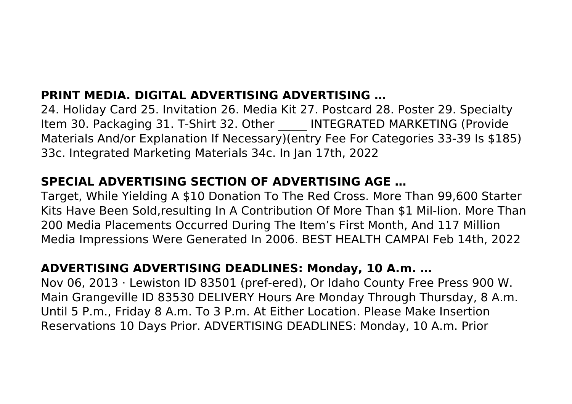# **PRINT MEDIA. DIGITAL ADVERTISING ADVERTISING …**

24. Holiday Card 25. Invitation 26. Media Kit 27. Postcard 28. Poster 29. Specialty Item 30. Packaging 31. T-Shirt 32. Other **INTEGRATED MARKETING (Provide** Materials And/or Explanation If Necessary)(entry Fee For Categories 33-39 Is \$185) 33c. Integrated Marketing Materials 34c. In Jan 17th, 2022

## **SPECIAL ADVERTISING SECTION OF ADVERTISING AGE …**

Target, While Yielding A \$10 Donation To The Red Cross. More Than 99,600 Starter Kits Have Been Sold,resulting In A Contribution Of More Than \$1 Mil-lion. More Than 200 Media Placements Occurred During The Item's First Month, And 117 Million Media Impressions Were Generated In 2006. BEST HEALTH CAMPAI Feb 14th, 2022

## **ADVERTISING ADVERTISING DEADLINES: Monday, 10 A.m. …**

Nov 06, 2013 · Lewiston ID 83501 (pref-ered), Or Idaho County Free Press 900 W. Main Grangeville ID 83530 DELIVERY Hours Are Monday Through Thursday, 8 A.m. Until 5 P.m., Friday 8 A.m. To 3 P.m. At Either Location. Please Make Insertion Reservations 10 Days Prior. ADVERTISING DEADLINES: Monday, 10 A.m. Prior